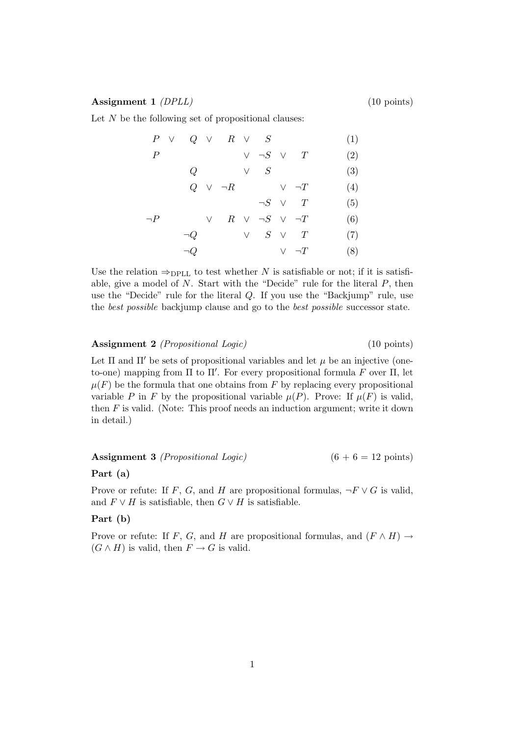### Assignment 1 *(DPLL)* (10 points)

Let  $N$  be the following set of propositional clauses:

|                  |          |        | $P \vee Q \vee R \vee S$                                    |                             |               | (1) |
|------------------|----------|--------|-------------------------------------------------------------|-----------------------------|---------------|-----|
| $\boldsymbol{P}$ |          |        |                                                             | $\vee \neg S \vee T$        |               | (2) |
|                  | Q        |        |                                                             | $\vee$ S                    |               | (3) |
|                  |          |        | $Q \quad \vee \quad \neg R \qquad \qquad \vee \quad \neg T$ |                             |               | (4) |
|                  |          |        |                                                             | $\neg S \quad \vee \quad T$ |               | (5) |
| $\neg P$         |          | $\vee$ |                                                             | $R \vee \neg S \vee \neg T$ |               | (6) |
|                  | $\neg Q$ |        |                                                             | $\vee$ $S$ $\vee$ $T$       |               | (7) |
|                  | $\neg Q$ |        |                                                             |                             | $\vee \neg T$ | (8) |

Use the relation  $\Rightarrow_{\text{DPLL}}$  to test whether N is satisfiable or not; if it is satisfiable, give a model of  $N$ . Start with the "Decide" rule for the literal  $P$ , then use the "Decide" rule for the literal Q. If you use the "Backjump" rule, use the best possible backjump clause and go to the best possible successor state.

Assignment 2 *(Propositional Logic)* (10 points)

Let  $\Pi$  and  $\Pi'$  be sets of propositional variables and let  $\mu$  be an injective (oneto-one) mapping from  $\Pi$  to  $\Pi'$ . For every propositional formula  $\tilde{F}$  over  $\Pi$ , let  $\mu(F)$  be the formula that one obtains from F by replacing every propositional variable P in F by the propositional variable  $\mu(P)$ . Prove: If  $\mu(F)$  is valid, then  $F$  is valid. (Note: This proof needs an induction argument; write it down in detail.)

Assignment 3 *(Propositional Logic)*  $(6 + 6 = 12 \text{ points})$ 

## Part (a)

Prove or refute: If F, G, and H are propositional formulas,  $\neg F \vee G$  is valid, and  $F \vee H$  is satisfiable, then  $G \vee H$  is satisfiable.

## Part (b)

Prove or refute: If F, G, and H are propositional formulas, and  $(F \wedge H) \rightarrow$  $(G \wedge H)$  is valid, then  $F \to G$  is valid.